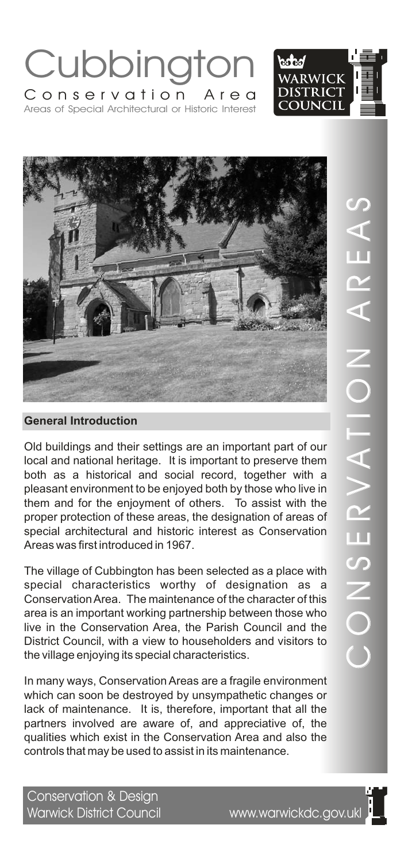# Cubbingt Areas of Special Architectural or Historic Interest Conservation Area

Old buildings and their settings are an important part of our local and national heritage. It is important to preserve them both as a historical and social record, together with a pleasant environment to be enjoyed both by those who live in them and for the enjoyment of others. To assist with the proper protection of these areas, the designation of areas of special architectural and historic interest as Conservation Areas was first introduced in 1967.

The village of Cubbington has been selected as a place with special characteristics worthy of designation as a Conservation Area. The maintenance of the character of this area is an important working partnership between those who live in the Conservation Area, the Parish Council and the District Council, with a view to householders and visitors to the village enjoying its special characteristics.

In many ways, Conservation Areas are a fragile environment which can soon be destroyed by unsympathetic changes or lack of maintenance. It is, therefore, important that all the partners involved are aware of, and appreciative of, the qualities which exist in the Conservation Area and also the controls that may be used to assist in its maintenance.

## Warwick District Council www.warwickdc.gov.ukl





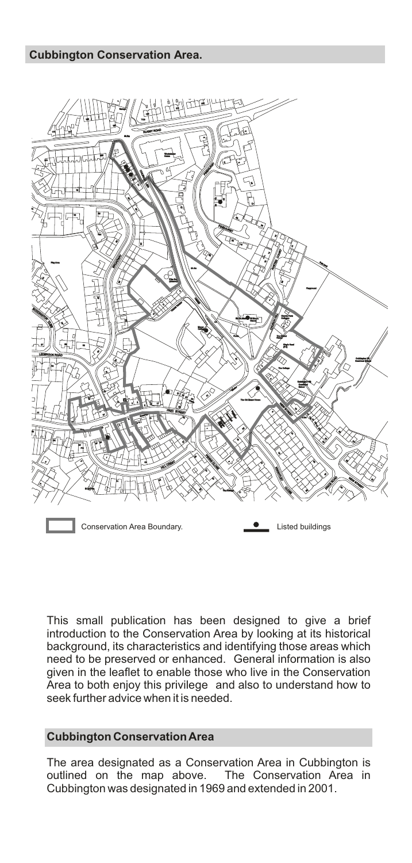

This small publication has been designed to give a brief introduction to the Conservation Area by looking at its historical background, its characteristics and identifying those areas which need to be preserved or enhanced. General information is also given in the leaflet to enable those who live in the Conservation Area to both enjoy this privilege and also to understand how to seek further advice when it is needed.

#### **Cubbington Conservation Area**

The area designated as a Conservation Area in Cubbington is outlined on the map above. The Conservation Area in Cubbington was designated in 1969 and extended in 2001.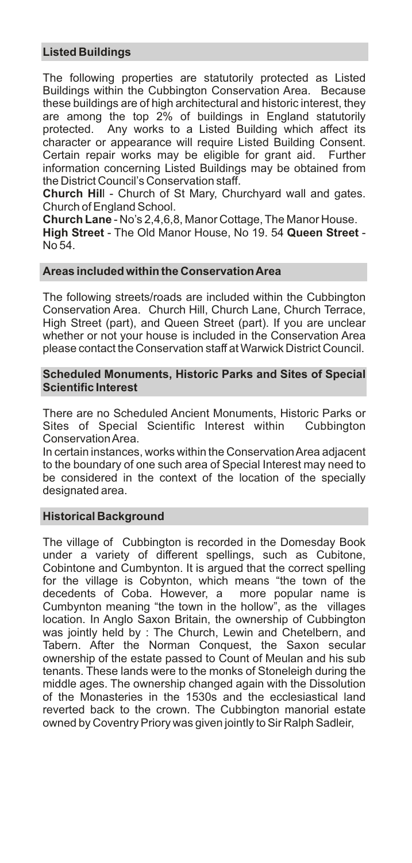### **Listed Buildings**

The following properties are statutorily protected as Listed Buildings within the Cubbington Conservation Area. Because these buildings are of high architectural and historic interest, they are among the top 2% of buildings in England statutorily protected. Any works to a Listed Building which affect its character or appearance will require Listed Building Consent. Certain repair works may be eligible for grant aid. Further information concerning Listed Buildings may be obtained from the District Council's Conservation staff.

**Church Hil**l - Church of St Mary, Churchyard wall and gates. Church of England School.

**Church Lane** - No's 2,4,6,8, Manor Cottage, The Manor House. **High Street** - The Old Manor House, No 19. 54 **Queen Street** - No 54.

#### **Areas included within the Conservation Area**

The following streets/roads are included within the Cubbington Conservation Area. Church Hill, Church Lane, Church Terrace, High Street (part), and Queen Street (part). If you are unclear whether or not your house is included in the Conservation Area please contact the Conservation staff at Warwick District Council.

#### **Scheduled Monuments, Historic Parks and Sites of Special Scientific Interest**

There are no Scheduled Ancient Monuments, Historic Parks or Sites of Special Scientific Interest within Cubbington Conservation Area.

In certain instances, works within the Conservation Area adjacent to the boundary of one such area of Special Interest may need to be considered in the context of the location of the specially designated area.

#### **Historical Background**

The village of Cubbington is recorded in the Domesday Book under a variety of different spellings, such as Cubitone, Cobintone and Cumbynton. It is argued that the correct spelling for the village is Cobynton, which means "the town of the decedents of Coba. However, a more popular name is Cumbynton meaning "the town in the hollow", as the villages location. In Anglo Saxon Britain, the ownership of Cubbington was jointly held by : The Church, Lewin and Chetelbern, and Tabern. After the Norman Conquest, the Saxon secular ownership of the estate passed to Count of Meulan and his sub tenants. These lands were to the monks of Stoneleigh during the middle ages. The ownership changed again with the Dissolution of the Monasteries in the 1530s and the ecclesiastical land reverted back to the crown. The Cubbington manorial estate owned by Coventry Priory was given jointly to Sir Ralph Sadleir,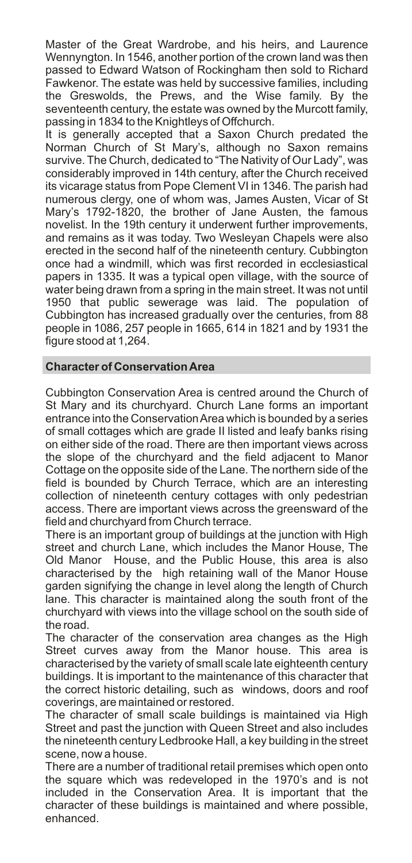Master of the Great Wardrobe, and his heirs, and Laurence Wennyngton. In 1546, another portion of the crown land was then passed to Edward Watson of Rockingham then sold to Richard Fawkenor. The estate was held by successive families, including the Greswolds, the Prews, and the Wise family. By the seventeenth century, the estate was owned by the Murcott family, passing in 1834 to the Knightleys of Offchurch.

It is generally accepted that a Saxon Church predated the Norman Church of St Mary's, although no Saxon remains survive. The Church, dedicated to "The Nativity of Our Lady", was considerably improved in 14th century, after the Church received its vicarage status from Pope Clement VI in 1346. The parish had numerous clergy, one of whom was, James Austen, Vicar of St Mary's 1792-1820, the brother of Jane Austen, the famous novelist. In the 19th century it underwent further improvements, and remains as it was today. Two Wesleyan Chapels were also erected in the second half of the nineteenth century. Cubbington once had a windmill, which was first recorded in ecclesiastical papers in 1335. It was a typical open village, with the source of water being drawn from a spring in the main street. It was not until 1950 that public sewerage was laid. The population of Cubbington has increased gradually over the centuries, from 88 people in 1086, 257 people in 1665, 614 in 1821 and by 1931 the figure stood at 1,264.

#### **Character of Conservation Area**

Cubbington Conservation Area is centred around the Church of St Mary and its churchyard. Church Lane forms an important entrance into the Conservation Area which is bounded by a series of small cottages which are grade II listed and leafy banks rising on either side of the road. There are then important views across the slope of the churchyard and the field adjacent to Manor Cottage on the opposite side of the Lane. The northern side of the field is bounded by Church Terrace, which are an interesting collection of nineteenth century cottages with only pedestrian access. There are important views across the greensward of the field and churchyard from Church terrace.

There is an important group of buildings at the junction with High street and church Lane, which includes the Manor House, The Old Manor House, and the Public House, this area is also characterised by the high retaining wall of the Manor House garden signifying the change in level along the length of Church lane. This character is maintained along the south front of the churchyard with views into the village school on the south side of the road.

The character of the conservation area changes as the High Street curves away from the Manor house. This area is characterised by the variety of small scale late eighteenth century buildings. It is important to the maintenance of this character that the correct historic detailing, such as windows, doors and roof coverings, are maintained or restored.

The character of small scale buildings is maintained via High Street and past the junction with Queen Street and also includes the nineteenth century Ledbrooke Hall, a key building in the street scene, now a house.

There are a number of traditional retail premises which open onto the square which was redeveloped in the 1970's and is not included in the Conservation Area. It is important that the character of these buildings is maintained and where possible, enhanced.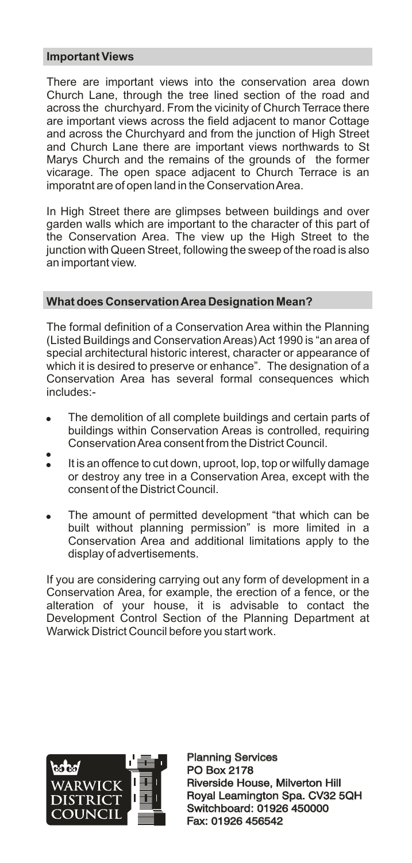#### **Important Views**

There are important views into the conservation area down Church Lane, through the tree lined section of the road and across the churchyard. From the vicinity of Church Terrace there are important views across the field adjacent to manor Cottage and across the Churchyard and from the junction of High Street and Church Lane there are important views northwards to St Marys Church and the remains of the grounds of the former vicarage. The open space adjacent to Church Terrace is an imporatnt are of open land in the Conservation Area.

In High Street there are glimpses between buildings and over garden walls which are important to the character of this part of the Conservation Area. The view up the High Street to the junction with Queen Street, following the sweep of the road is also an important view.

### **What does Conservation Area Designation Mean?**

The formal definition of a Conservation Area within the Planning (Listed Buildings and Conservation Areas) Act 1990 is "an area of special architectural historic interest, character or appearance of which it is desired to preserve or enhance". The designation of a Conservation Area has several formal consequences which includes:-

- The demolition of all complete buildings and certain parts of buildings within Conservation Areas is controlled, requiring Conservation Area consent from the District Council. .<br>.
- It is an offence to cut down, uproot, lop, top or wilfully damage or destroy any tree in a Conservation Area, except with the consent of the District Council.
- The amount of permitted development "that which can be built without planning permission" is more limited in a Conservation Area and additional limitations apply to the display of advertisements.

If you are considering carrying out any form of development in a Conservation Area, for example, the erection of a fence, or the alteration of your house, it is advisable to contact the Development Control Section of the Planning Department at Warwick District Council before you start work.



Planning Services PO Box 2178 Planning Services<br>PO Box 2178<br>Riverside House, Milverton Hill Royal Leamington Spa. CV32 5QH Switchboard: 01926 450000 Fax: 01926 456542 Royal Leamington Spa. CV32<br>Switchboard: 01926 450000<br>Fax: 01926 456542